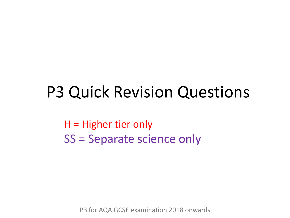# P3 Quick Revision Questions

H = Higher tier only SS = Separate science only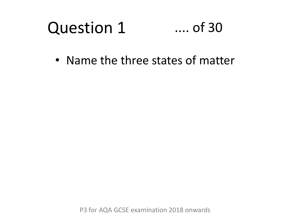#### Question 1 .... of 30

• Name the three states of matter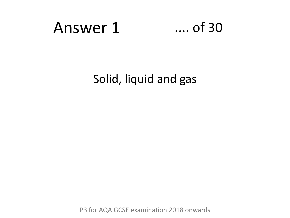# Answer 1 .... of 30

Solid, liquid and gas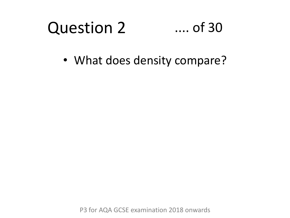#### Question 2 .... of 30

• What does density compare?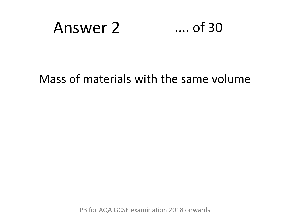

### Mass of materials with the same volume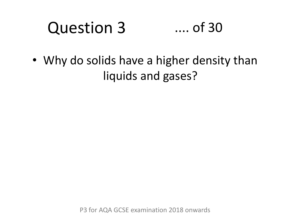#### Question 3 .... of 30

• Why do solids have a higher density than liquids and gases?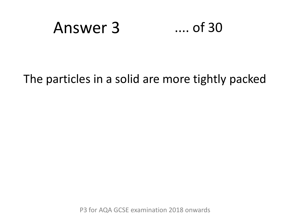

### The particles in a solid are more tightly packed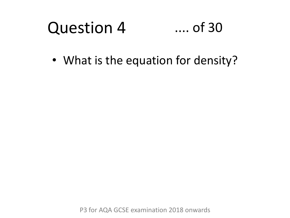#### Question 4 .... of 30

• What is the equation for density?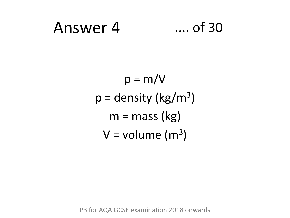# Answer 4 .... of 30

$$
p = m/V
$$
  
p = density (kg/m<sup>3</sup>)  
m = mass (kg)  
V = volume (m<sup>3</sup>)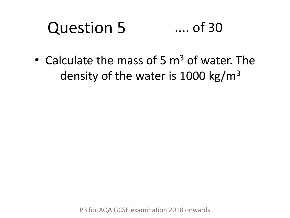#### Question 5 .... of 30

• Calculate the mass of 5  $\mathrm{m}^3$  of water. The density of the water is 1000 kg/ $m<sup>3</sup>$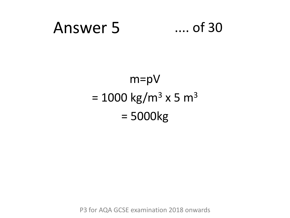# Answer 5 .... of 30

## m=pV  $= 1000 \text{ kg/m}^3 \times 5 \text{ m}^3$ = 5000kg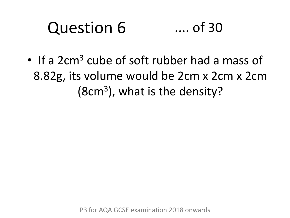#### Question 6 .... of 30

• If a 2cm<sup>3</sup> cube of soft rubber had a mass of 8.82g, its volume would be 2cm x 2cm x 2cm (8cm<sup>3</sup> ), what is the density?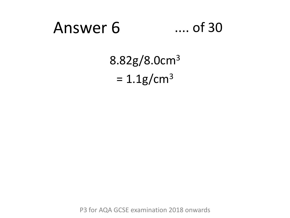# Answer 6 .... of 30

# 8.82g/8.0cm<sup>3</sup>  $= 1.1 g/cm<sup>3</sup>$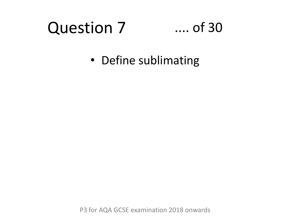# Question 7

### .... of 30

• Define sublimating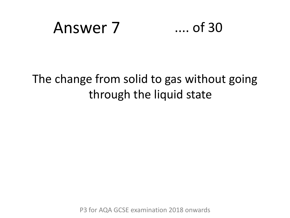# Answer 7 .... of 30

### The change from solid to gas without going through the liquid state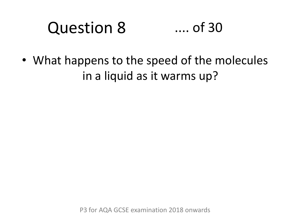#### Question 8 .... of 30

• What happens to the speed of the molecules in a liquid as it warms up?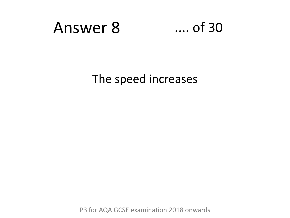

The speed increases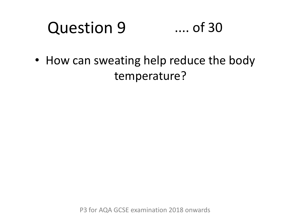#### Question 9 .... of 30

• How can sweating help reduce the body temperature?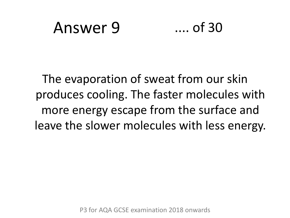### Answer 9 .... of 30

The evaporation of sweat from our skin produces cooling. The faster molecules with more energy escape from the surface and leave the slower molecules with less energy.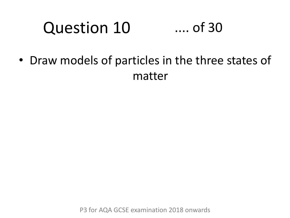#### Question 10 .... of 30

• Draw models of particles in the three states of matter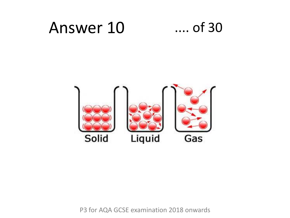## Answer 10 .... of 30

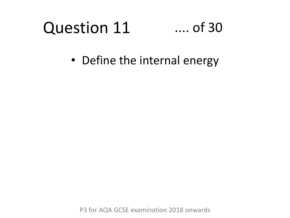#### Question 11 .... of 30

• Define the internal energy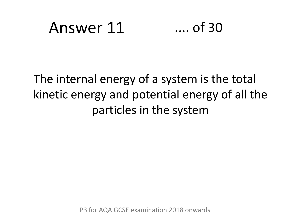# Answer 11 .... of 30

### The internal energy of a system is the total kinetic energy and potential energy of all the particles in the system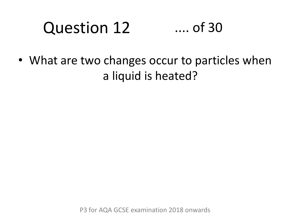#### Question 12 .... of 30

• What are two changes occur to particles when a liquid is heated?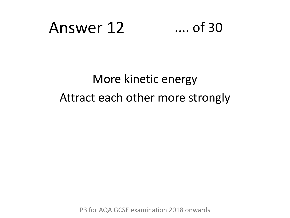# Answer 12 .... of 30

### More kinetic energy Attract each other more strongly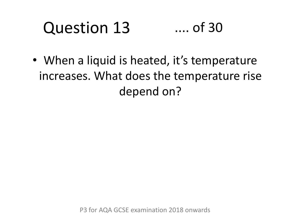#### Question 13 .... of 30

• When a liquid is heated, it's temperature increases. What does the temperature rise depend on?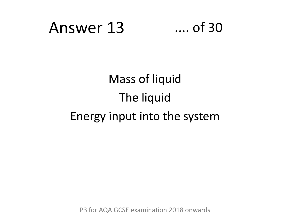# Answer 13 .... of 30

# Mass of liquid The liquid Energy input into the system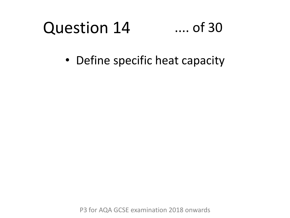#### Question 14 .... of 30

• Define specific heat capacity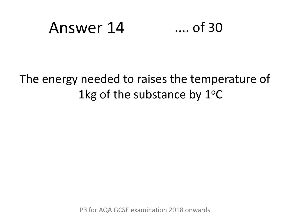# Answer 14 .... of 30

### The energy needed to raises the temperature of 1kg of the substance by  $1^{\circ}$ C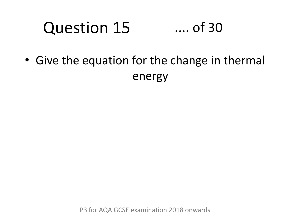#### Question 15 .... of 30

• Give the equation for the change in thermal energy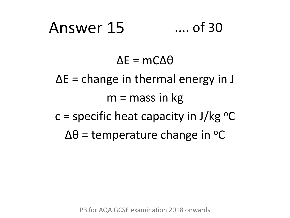# Answer 15 .... of 30

### $\Delta E = mC\Delta\theta$

∆E = change in thermal energy in J  $m =$  mass in kg c = specific heat capacity in  $J/kg$  °C  $\Delta\theta$  = temperature change in °C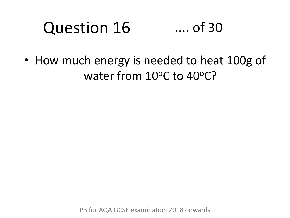#### Question 16 .... of 30

• How much energy is needed to heat 100g of water from 10°C to 40°C?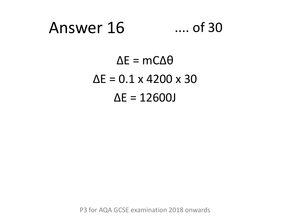## Answer 16 .... of 30

 $ΔE = MCΔθ$  $\Delta E = 0.1 \times 4200 \times 30$ ∆E = 12600J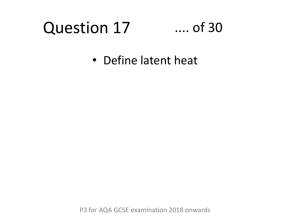# Question 17

### .... of 30

• Define latent heat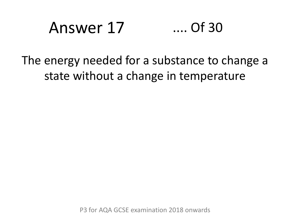# Answer 17 .... Of 30

### The energy needed for a substance to change a state without a change in temperature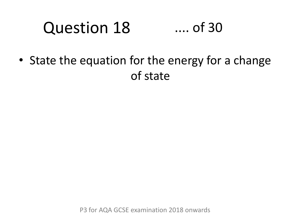#### Question 18 .... of 30

• State the equation for the energy for a change of state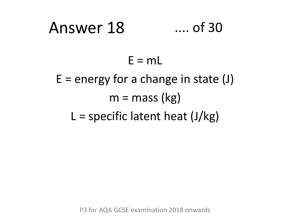# Answer 18 .... of 30  $E = mL$  $E$  = energy for a change in state (J)  $m =$  mass (kg) L = specific latent heat  $(J/kg)$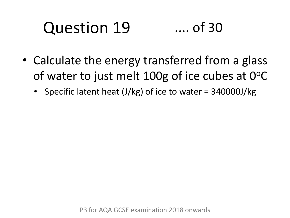#### Question 19 .... of 30

- Calculate the energy transferred from a glass of water to just melt 100g of ice cubes at  $0^{\circ}$ C
	- Specific latent heat (J/kg) of ice to water = 340000J/kg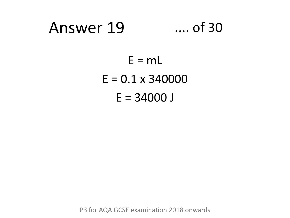## Answer 19 .... of 30

 $E = mL$  $E = 0.1 \times 340000$  $E = 34000$  J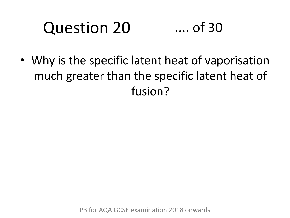#### Question 20 .... of 30

• Why is the specific latent heat of vaporisation much greater than the specific latent heat of fusion?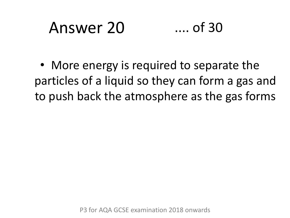# Answer 20 .... of 30

• More energy is required to separate the particles of a liquid so they can form a gas and to push back the atmosphere as the gas forms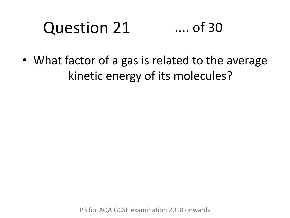#### Question 21 .... of 30

• What factor of a gas is related to the average kinetic energy of its molecules?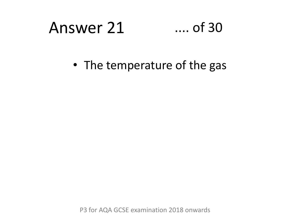# Answer 21 .... of 30

• The temperature of the gas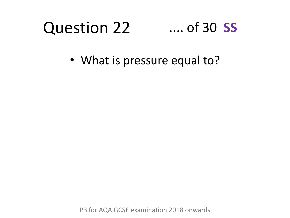#### Question 22 .... of 30 **SS**

• What is pressure equal to?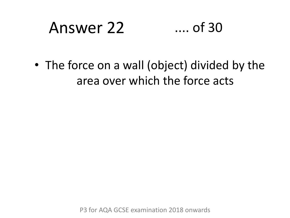# Answer 22 .... of 30

• The force on a wall (object) divided by the area over which the force acts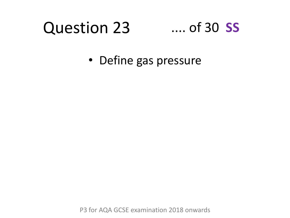#### Question 23 .... of 30 **SS**

• Define gas pressure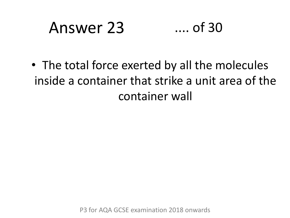# Answer 23 .... of 30

• The total force exerted by all the molecules inside a container that strike a unit area of the container wall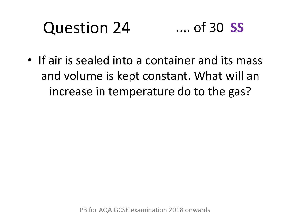#### Question 24 .... of 30 **SS**

• If air is sealed into a container and its mass and volume is kept constant. What will an increase in temperature do to the gas?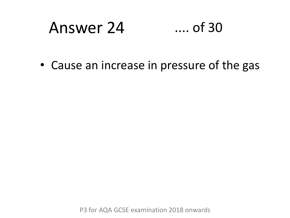# Answer 24 .... of 30

• Cause an increase in pressure of the gas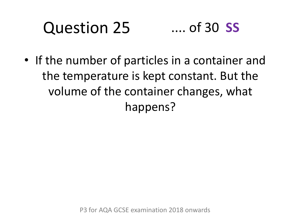#### Question 25 .... of 30 **SS**

• If the number of particles in a container and the temperature is kept constant. But the volume of the container changes, what happens?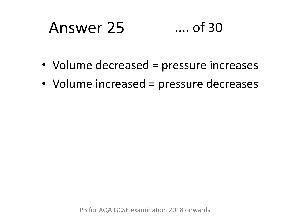# Answer 25 .... of 30

- Volume decreased = pressure increases
- Volume increased = pressure decreases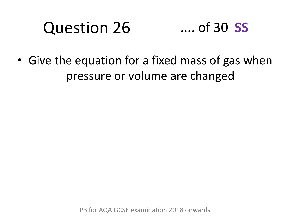#### Question 26 .... of 30 **SS**

• Give the equation for a fixed mass of gas when pressure or volume are changed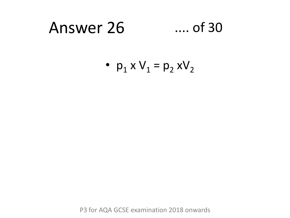# Answer 26 .... of 30

•  $p_1 \times V_1 = p_2 \times V_2$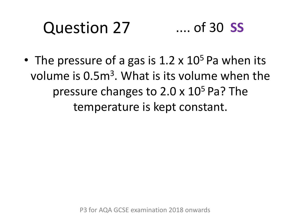#### Question 27 .... of 30 **SS**

• The pressure of a gas is  $1.2 \times 10^5$  Pa when its volume is 0.5m<sup>3</sup>. What is its volume when the pressure changes to  $2.0 \times 10^5$  Pa? The temperature is kept constant.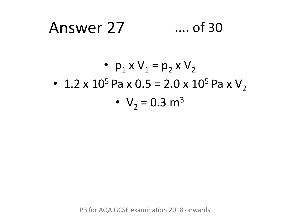## Answer 27 .... of 30

• 
$$
p_1 \times V_1 = p_2 \times V_2
$$
  
\n• 1.2 x 10<sup>5</sup> Pa x 0.5 = 2.0 x 10<sup>5</sup> Pa x V<sub>2</sub>  
\n• V<sub>2</sub> = 0.3 m<sup>3</sup>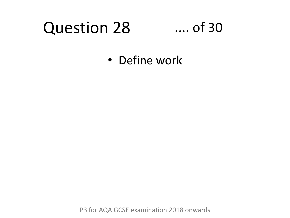# Question 28

### .... of 30

• Define work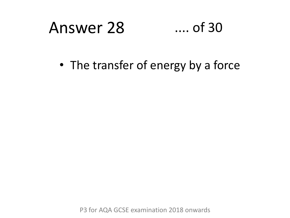# Answer 28 .... of 30

• The transfer of energy by a force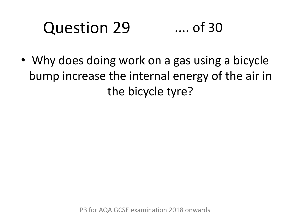#### Question 29 .... of 30

• Why does doing work on a gas using a bicycle bump increase the internal energy of the air in the bicycle tyre?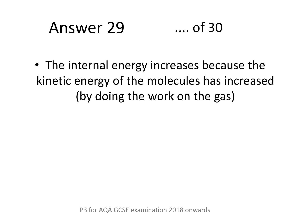# Answer 29 .... of 30

• The internal energy increases because the kinetic energy of the molecules has increased (by doing the work on the gas)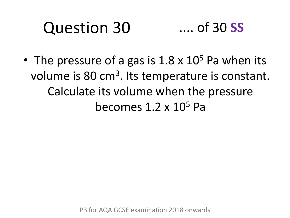#### Question 30 .... of 30 **SS**

• The pressure of a gas is  $1.8 \times 10^5$  Pa when its volume is 80 cm<sup>3</sup>. Its temperature is constant. Calculate its volume when the pressure becomes  $1.2 \times 10^5$  Pa